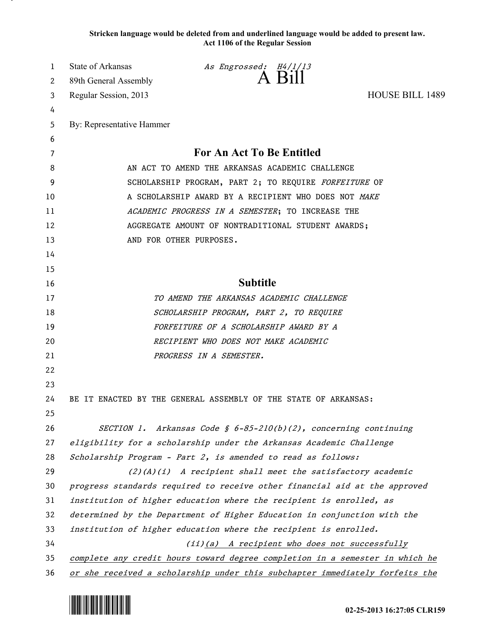**Stricken language would be deleted from and underlined language would be added to present law. Act 1106 of the Regular Session**

| 1  | <b>State of Arkansas</b>                                                     | As Engrossed: H4/1/13                                                        |                        |  |
|----|------------------------------------------------------------------------------|------------------------------------------------------------------------------|------------------------|--|
| 2  | 89th General Assembly                                                        | A Bill                                                                       |                        |  |
| 3  | Regular Session, 2013                                                        |                                                                              | <b>HOUSE BILL 1489</b> |  |
| 4  |                                                                              |                                                                              |                        |  |
| 5  | By: Representative Hammer                                                    |                                                                              |                        |  |
| 6  |                                                                              |                                                                              |                        |  |
| 7  | For An Act To Be Entitled                                                    |                                                                              |                        |  |
| 8  | AN ACT TO AMEND THE ARKANSAS ACADEMIC CHALLENGE                              |                                                                              |                        |  |
| 9  | SCHOLARSHIP PROGRAM, PART 2; TO REQUIRE FORFEITURE OF                        |                                                                              |                        |  |
| 10 | A SCHOLARSHIP AWARD BY A RECIPIENT WHO DOES NOT MAKE                         |                                                                              |                        |  |
| 11 | ACADEMIC PROGRESS IN A SEMESTER; TO INCREASE THE                             |                                                                              |                        |  |
| 12 | AGGREGATE AMOUNT OF NONTRADITIONAL STUDENT AWARDS;                           |                                                                              |                        |  |
| 13 |                                                                              | AND FOR OTHER PURPOSES.                                                      |                        |  |
| 14 |                                                                              |                                                                              |                        |  |
| 15 |                                                                              |                                                                              |                        |  |
| 16 |                                                                              | <b>Subtitle</b>                                                              |                        |  |
| 17 |                                                                              | TO AMEND THE ARKANSAS ACADEMIC CHALLENGE                                     |                        |  |
| 18 | SCHOLARSHIP PROGRAM, PART 2, TO REQUIRE                                      |                                                                              |                        |  |
| 19 |                                                                              | FORFEITURE OF A SCHOLARSHIP AWARD BY A                                       |                        |  |
| 20 | RECIPIENT WHO DOES NOT MAKE ACADEMIC                                         |                                                                              |                        |  |
| 21 |                                                                              | PROGRESS IN A SEMESTER.                                                      |                        |  |
| 22 |                                                                              |                                                                              |                        |  |
| 23 |                                                                              |                                                                              |                        |  |
| 24 |                                                                              | BE IT ENACTED BY THE GENERAL ASSEMBLY OF THE STATE OF ARKANSAS:              |                        |  |
| 25 |                                                                              |                                                                              |                        |  |
| 26 |                                                                              | SECTION 1. Arkansas Code § $6-85-210(b)(2)$ , concerning continuing          |                        |  |
| 27 |                                                                              | eligibility for a scholarship under the Arkansas Academic Challenge          |                        |  |
| 28 |                                                                              | Scholarship Program - Part 2, is amended to read as follows:                 |                        |  |
| 29 |                                                                              | $(2)$ $(A)$ $(i)$ A recipient shall meet the satisfactory academic           |                        |  |
| 30 | progress standards required to receive other financial aid at the approved   |                                                                              |                        |  |
| 31 | institution of higher education where the recipient is enrolled, as          |                                                                              |                        |  |
| 32 | determined by the Department of Higher Education in conjunction with the     |                                                                              |                        |  |
| 33 | institution of higher education where the recipient is enrolled.             |                                                                              |                        |  |
| 34 | $(ii)(a)$ A recipient who does not successfully                              |                                                                              |                        |  |
| 35 | complete any credit hours toward degree completion in a semester in which he |                                                                              |                        |  |
| 36 |                                                                              | or she received a scholarship under this subchapter immediately forfeits the |                        |  |